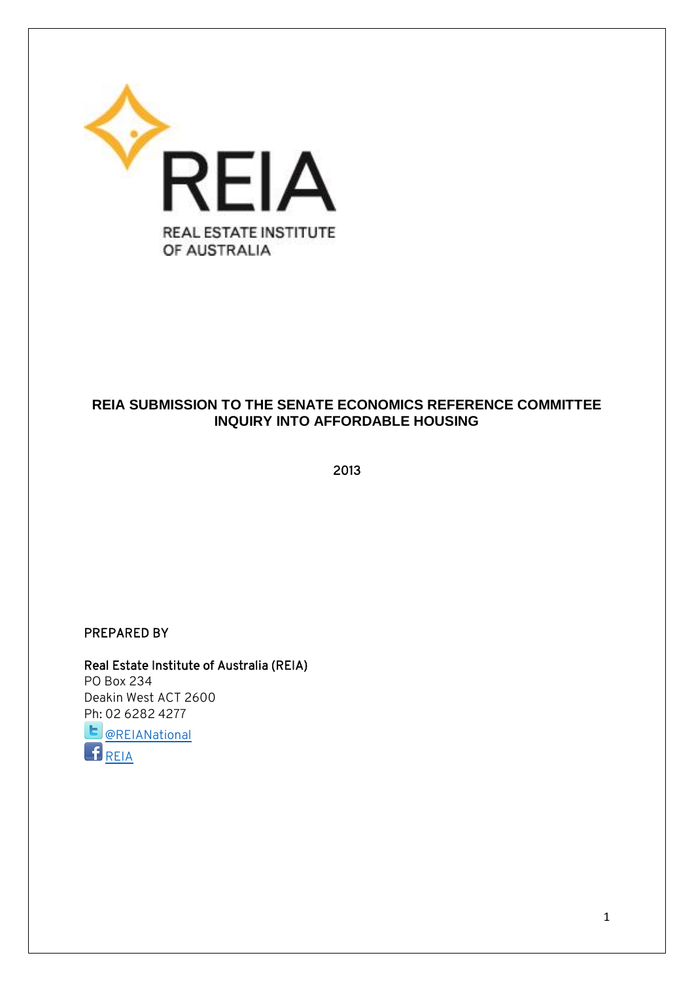

## **REIA SUBMISSION TO THE SENATE ECONOMICS REFERENCE COMMITTEE INQUIRY INTO AFFORDABLE HOUSING**

2013

#### PREPARED BY

Real Estate Institute of Australia (REIA) PO Box 234 Deakin West ACT 2600 Ph: 02 6282 4277  $\mathbf{E}$ [@REIANational](https://twitter.com/REIANational)

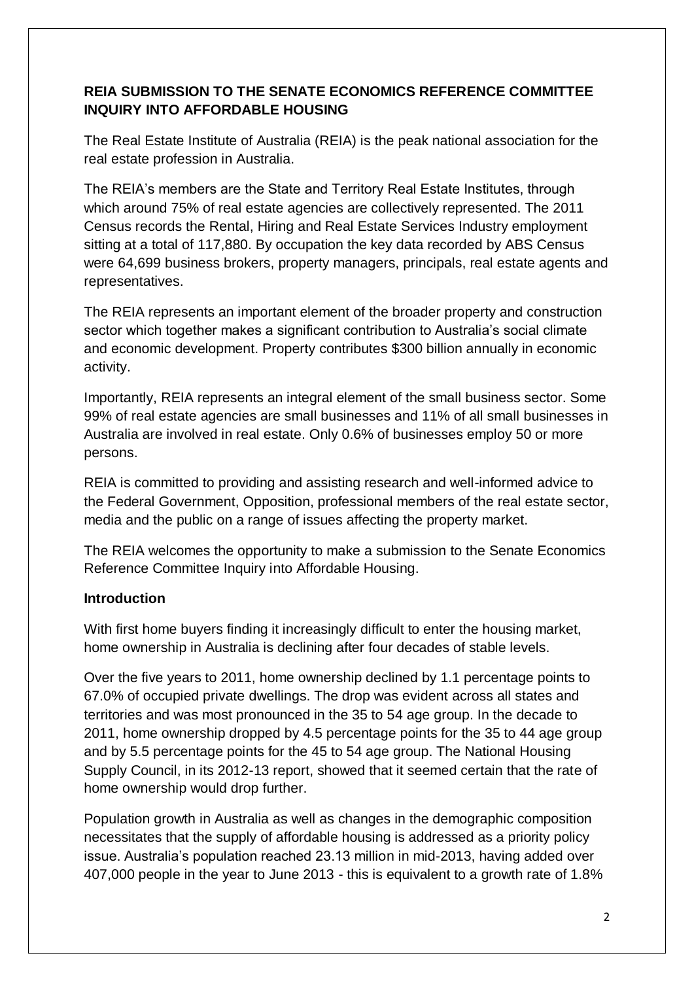## **REIA SUBMISSION TO THE SENATE ECONOMICS REFERENCE COMMITTEE INQUIRY INTO AFFORDABLE HOUSING**

The Real Estate Institute of Australia (REIA) is the peak national association for the real estate profession in Australia.

The REIA's members are the State and Territory Real Estate Institutes, through which around 75% of real estate agencies are collectively represented. The 2011 Census records the Rental, Hiring and Real Estate Services Industry employment sitting at a total of 117,880. By occupation the key data recorded by ABS Census were 64,699 business brokers, property managers, principals, real estate agents and representatives.

The REIA represents an important element of the broader property and construction sector which together makes a significant contribution to Australia's social climate and economic development. Property contributes \$300 billion annually in economic activity.

Importantly, REIA represents an integral element of the small business sector. Some 99% of real estate agencies are small businesses and 11% of all small businesses in Australia are involved in real estate. Only 0.6% of businesses employ 50 or more persons.

REIA is committed to providing and assisting research and well-informed advice to the Federal Government, Opposition, professional members of the real estate sector, media and the public on a range of issues affecting the property market.

The REIA welcomes the opportunity to make a submission to the Senate Economics Reference Committee Inquiry into Affordable Housing.

## **Introduction**

With first home buyers finding it increasingly difficult to enter the housing market, home ownership in Australia is declining after four decades of stable levels.

Over the five years to 2011, home ownership declined by 1.1 percentage points to 67.0% of occupied private dwellings. The drop was evident across all states and territories and was most pronounced in the 35 to 54 age group. In the decade to 2011, home ownership dropped by 4.5 percentage points for the 35 to 44 age group and by 5.5 percentage points for the 45 to 54 age group. The National Housing Supply Council, in its 2012-13 report, showed that it seemed certain that the rate of home ownership would drop further.

Population growth in Australia as well as changes in the demographic composition necessitates that the supply of affordable housing is addressed as a priority policy issue. Australia's population reached 23.13 million in mid-2013, having added over 407,000 people in the year to June 2013 - this is equivalent to a growth rate of 1.8%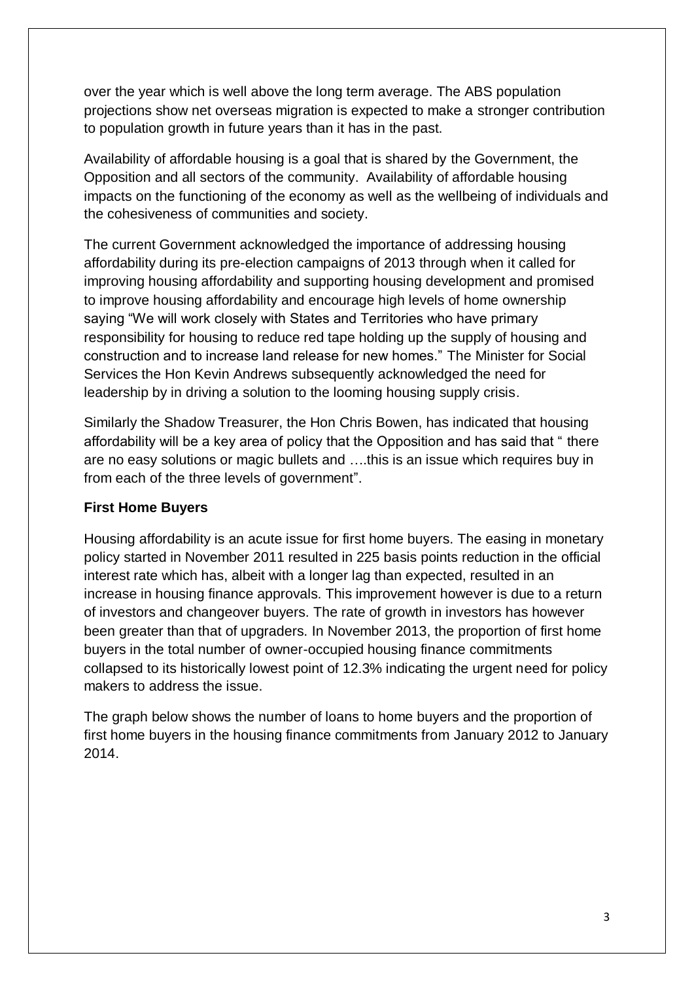over the year which is well above the long term average. The ABS population projections show net overseas migration is expected to make a stronger contribution to population growth in future years than it has in the past.

Availability of affordable housing is a goal that is shared by the Government, the Opposition and all sectors of the community. Availability of affordable housing impacts on the functioning of the economy as well as the wellbeing of individuals and the cohesiveness of communities and society.

The current Government acknowledged the importance of addressing housing affordability during its pre-election campaigns of 2013 through when it called for improving housing affordability and supporting housing development and promised to improve housing affordability and encourage high levels of home ownership saying "We will work closely with States and Territories who have primary responsibility for housing to reduce red tape holding up the supply of housing and construction and to increase land release for new homes." The Minister for Social Services the Hon Kevin Andrews subsequently acknowledged the need for leadership by in driving a solution to the looming housing supply crisis.

Similarly the Shadow Treasurer, the Hon Chris Bowen, has indicated that housing affordability will be a key area of policy that the Opposition and has said that " there are no easy solutions or magic bullets and ….this is an issue which requires buy in from each of the three levels of government".

#### **First Home Buyers**

Housing affordability is an acute issue for first home buyers. The easing in monetary policy started in November 2011 resulted in 225 basis points reduction in the official interest rate which has, albeit with a longer lag than expected, resulted in an increase in housing finance approvals. This improvement however is due to a return of investors and changeover buyers. The rate of growth in investors has however been greater than that of upgraders. In November 2013, the proportion of first home buyers in the total number of owner-occupied housing finance commitments collapsed to its historically lowest point of 12.3% indicating the urgent need for policy makers to address the issue.

The graph below shows the number of loans to home buyers and the proportion of first home buyers in the housing finance commitments from January 2012 to January 2014.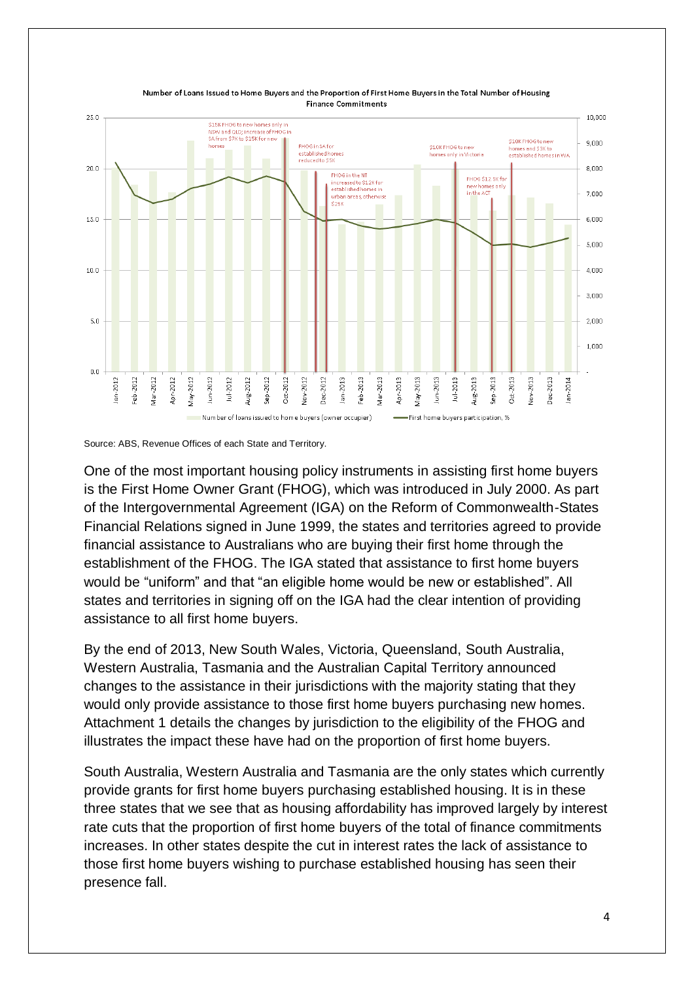

Number of Loans Issued to Home Buyers and the Proportion of First Home Buyers in the Total Number of Housing **Finance Commitments** 

One of the most important housing policy instruments in assisting first home buyers is the First Home Owner Grant (FHOG), which was introduced in July 2000. As part of the Intergovernmental Agreement (IGA) on the Reform of Commonwealth-States Financial Relations signed in June 1999, the states and territories agreed to provide financial assistance to Australians who are buying their first home through the establishment of the FHOG. The IGA stated that assistance to first home buyers would be "uniform" and that "an eligible home would be new or established". All states and territories in signing off on the IGA had the clear intention of providing assistance to all first home buyers.

By the end of 2013, New South Wales, Victoria, Queensland, South Australia, Western Australia, Tasmania and the Australian Capital Territory announced changes to the assistance in their jurisdictions with the majority stating that they would only provide assistance to those first home buyers purchasing new homes. Attachment 1 details the changes by jurisdiction to the eligibility of the FHOG and illustrates the impact these have had on the proportion of first home buyers.

South Australia, Western Australia and Tasmania are the only states which currently provide grants for first home buyers purchasing established housing. It is in these three states that we see that as housing affordability has improved largely by interest rate cuts that the proportion of first home buyers of the total of finance commitments increases. In other states despite the cut in interest rates the lack of assistance to those first home buyers wishing to purchase established housing has seen their presence fall.

Source: ABS, Revenue Offices of each State and Territory.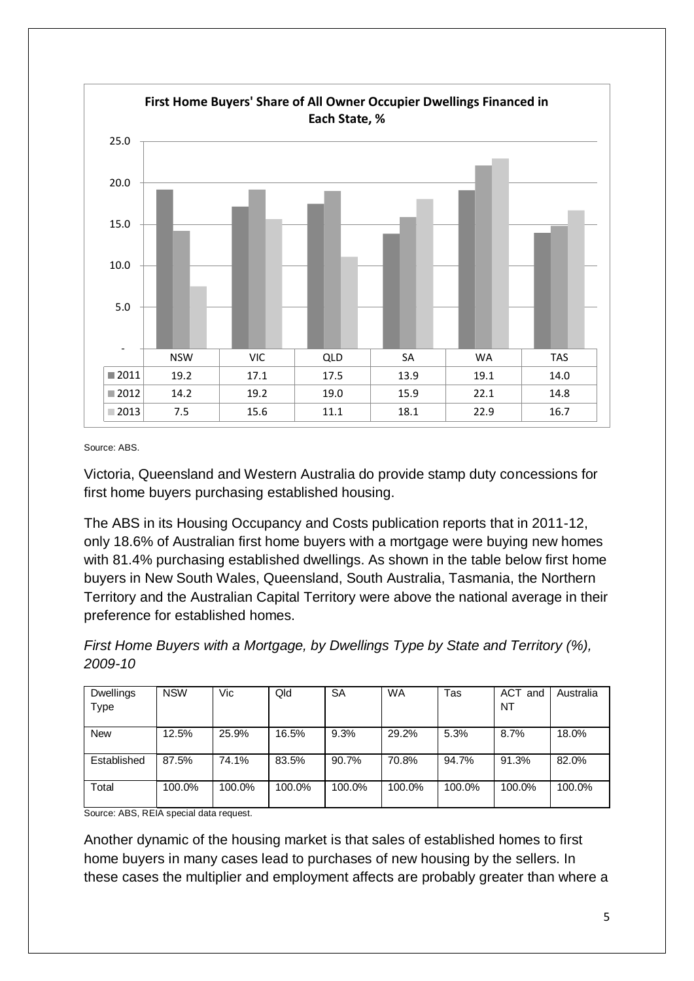

Source: ABS.

Victoria, Queensland and Western Australia do provide stamp duty concessions for first home buyers purchasing established housing.

The ABS in its Housing Occupancy and Costs publication reports that in 2011-12, only 18.6% of Australian first home buyers with a mortgage were buying new homes with 81.4% purchasing established dwellings. As shown in the table below first home buyers in New South Wales, Queensland, South Australia, Tasmania, the Northern Territory and the Australian Capital Territory were above the national average in their preference for established homes.

*First Home Buyers with a Mortgage, by Dwellings Type by State and Territory (%), 2009-10*

| <b>Dwellings</b> | <b>NSW</b> | Vic    | Qld    | SA     | <b>WA</b> | Tas    | <b>ACT</b><br>์ and<br>NT | Australia |
|------------------|------------|--------|--------|--------|-----------|--------|---------------------------|-----------|
| <b>Type</b>      |            |        |        |        |           |        |                           |           |
| <b>New</b>       | 12.5%      | 25.9%  | 16.5%  | 9.3%   | 29.2%     | 5.3%   | 8.7%                      | 18.0%     |
| Established      | 87.5%      | 74.1%  | 83.5%  | 90.7%  | 70.8%     | 94.7%  | 91.3%                     | 82.0%     |
| Total            | 100.0%     | 100.0% | 100.0% | 100.0% | 100.0%    | 100.0% | 100.0%                    | 100.0%    |

Source: ABS, REIA special data request.

Another dynamic of the housing market is that sales of established homes to first home buyers in many cases lead to purchases of new housing by the sellers. In these cases the multiplier and employment affects are probably greater than where a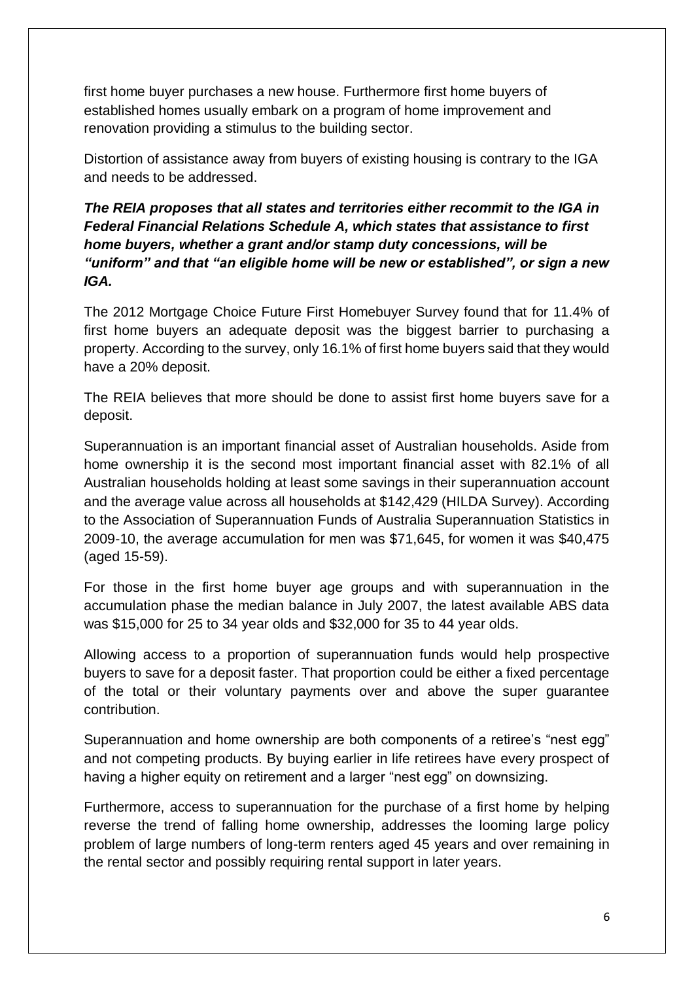first home buyer purchases a new house. Furthermore first home buyers of established homes usually embark on a program of home improvement and renovation providing a stimulus to the building sector.

Distortion of assistance away from buyers of existing housing is contrary to the IGA and needs to be addressed.

## *The REIA proposes that all states and territories either recommit to the IGA in Federal Financial Relations Schedule A, which states that assistance to first home buyers, whether a grant and/or stamp duty concessions, will be "uniform" and that "an eligible home will be new or established", or sign a new IGA.*

The 2012 Mortgage Choice Future First Homebuyer Survey found that for 11.4% of first home buyers an adequate deposit was the biggest barrier to purchasing a property. According to the survey, only 16.1% of first home buyers said that they would have a 20% deposit.

The REIA believes that more should be done to assist first home buyers save for a deposit.

Superannuation is an important financial asset of Australian households. Aside from home ownership it is the second most important financial asset with 82.1% of all Australian households holding at least some savings in their superannuation account and the average value across all households at \$142,429 (HILDA Survey). According to the Association of Superannuation Funds of Australia Superannuation Statistics in 2009-10, the average accumulation for men was \$71,645, for women it was \$40,475 (aged 15-59).

For those in the first home buyer age groups and with superannuation in the accumulation phase the median balance in July 2007, the latest available ABS data was \$15,000 for 25 to 34 year olds and \$32,000 for 35 to 44 year olds.

Allowing access to a proportion of superannuation funds would help prospective buyers to save for a deposit faster. That proportion could be either a fixed percentage of the total or their voluntary payments over and above the super guarantee contribution.

Superannuation and home ownership are both components of a retiree's "nest egg" and not competing products. By buying earlier in life retirees have every prospect of having a higher equity on retirement and a larger "nest egg" on downsizing.

Furthermore, access to superannuation for the purchase of a first home by helping reverse the trend of falling home ownership, addresses the looming large policy problem of large numbers of long-term renters aged 45 years and over remaining in the rental sector and possibly requiring rental support in later years.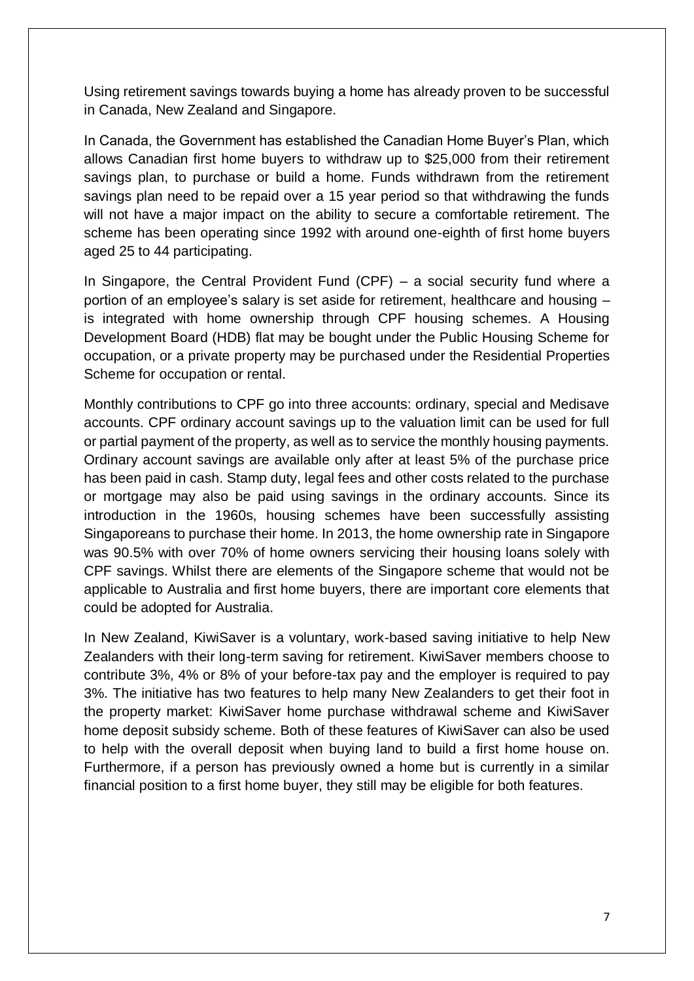Using retirement savings towards buying a home has already proven to be successful in Canada, New Zealand and Singapore.

In Canada, the Government has established the Canadian Home Buyer's Plan, which allows Canadian first home buyers to withdraw up to \$25,000 from their retirement savings plan, to purchase or build a home. Funds withdrawn from the retirement savings plan need to be repaid over a 15 year period so that withdrawing the funds will not have a major impact on the ability to secure a comfortable retirement. The scheme has been operating since 1992 with around one-eighth of first home buyers aged 25 to 44 participating.

In Singapore, the Central Provident Fund  $(CPF)$  – a social security fund where a portion of an employee's salary is set aside for retirement, healthcare and housing – is integrated with home ownership through CPF housing schemes. A Housing Development Board (HDB) flat may be bought under the Public Housing Scheme for occupation, or a private property may be purchased under the Residential Properties Scheme for occupation or rental.

Monthly contributions to CPF go into three accounts: ordinary, special and Medisave accounts. CPF ordinary account savings up to the valuation limit can be used for full or partial payment of the property, as well as to service the monthly housing payments. Ordinary account savings are available only after at least 5% of the purchase price has been paid in cash. Stamp duty, legal fees and other costs related to the purchase or mortgage may also be paid using savings in the ordinary accounts. Since its introduction in the 1960s, housing schemes have been successfully assisting Singaporeans to purchase their home. In 2013, the home ownership rate in Singapore was 90.5% with over 70% of home owners servicing their housing loans solely with CPF savings. Whilst there are elements of the Singapore scheme that would not be applicable to Australia and first home buyers, there are important core elements that could be adopted for Australia.

In New Zealand, KiwiSaver is a voluntary, work-based saving initiative to help New Zealanders with their long-term saving for retirement. KiwiSaver members choose to contribute 3%, 4% or 8% of your before-tax pay and the employer is required to pay 3%. The initiative has two features to help many New Zealanders to get their foot in the property market: KiwiSaver home purchase withdrawal scheme and KiwiSaver home deposit subsidy scheme. Both of these features of KiwiSaver can also be used to help with the overall deposit when buying land to build a first home house on. Furthermore, if a person has previously owned a home but is currently in a similar financial position to a first home buyer, they still may be eligible for both features.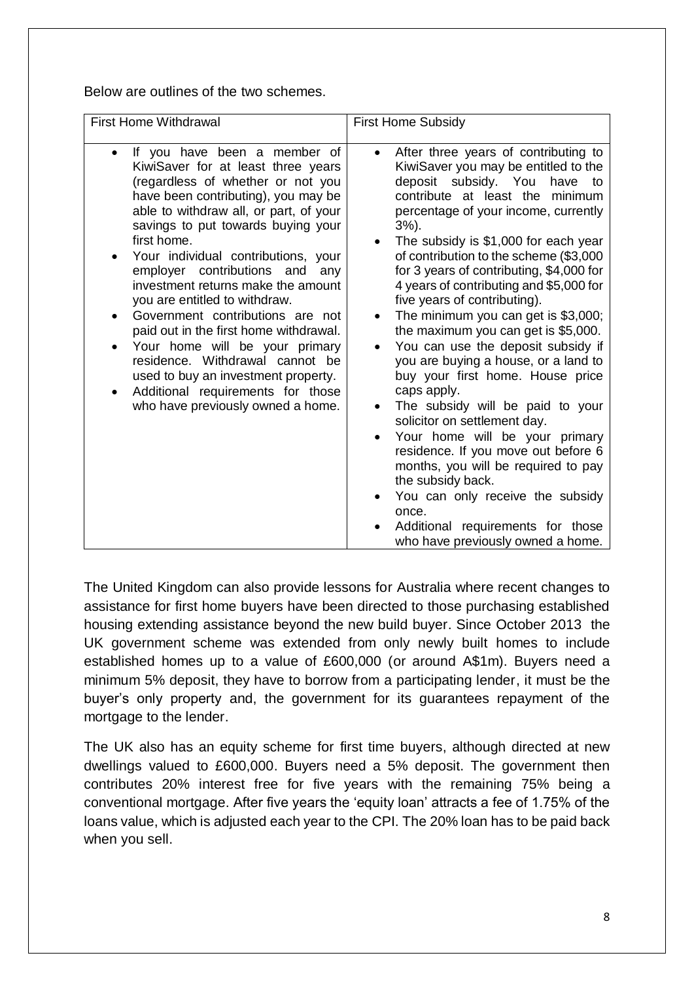Below are outlines of the two schemes.

| <b>First Home Withdrawal</b>                                                                                                                                                                                                                                                                                                                                                                                                                                                                                                                                                                                                                                         | <b>First Home Subsidy</b>                                                                                                                                                                                                                                                                                                                                                                                                                                                                                                                                                                                                                                                                                                                                                                                                                                                                                                                                                                               |
|----------------------------------------------------------------------------------------------------------------------------------------------------------------------------------------------------------------------------------------------------------------------------------------------------------------------------------------------------------------------------------------------------------------------------------------------------------------------------------------------------------------------------------------------------------------------------------------------------------------------------------------------------------------------|---------------------------------------------------------------------------------------------------------------------------------------------------------------------------------------------------------------------------------------------------------------------------------------------------------------------------------------------------------------------------------------------------------------------------------------------------------------------------------------------------------------------------------------------------------------------------------------------------------------------------------------------------------------------------------------------------------------------------------------------------------------------------------------------------------------------------------------------------------------------------------------------------------------------------------------------------------------------------------------------------------|
| If you have been a member of<br>KiwiSaver for at least three years<br>(regardless of whether or not you<br>have been contributing), you may be<br>able to withdraw all, or part, of your<br>savings to put towards buying your<br>first home.<br>Your individual contributions, your<br>employer contributions and<br>any<br>investment returns make the amount<br>you are entitled to withdraw.<br>Government contributions are not<br>paid out in the first home withdrawal.<br>Your home will be your primary<br>residence. Withdrawal cannot be<br>used to buy an investment property.<br>Additional requirements for those<br>who have previously owned a home. | After three years of contributing to<br>$\bullet$<br>KiwiSaver you may be entitled to the<br>deposit subsidy. You<br>have<br>to<br>contribute at least the minimum<br>percentage of your income, currently<br>$3%$ ).<br>The subsidy is \$1,000 for each year<br>$\bullet$<br>of contribution to the scheme (\$3,000<br>for 3 years of contributing, \$4,000 for<br>4 years of contributing and \$5,000 for<br>five years of contributing).<br>The minimum you can get is \$3,000;<br>the maximum you can get is \$5,000.<br>You can use the deposit subsidy if<br>you are buying a house, or a land to<br>buy your first home. House price<br>caps apply.<br>The subsidy will be paid to your<br>solicitor on settlement day.<br>Your home will be your primary<br>$\bullet$<br>residence. If you move out before 6<br>months, you will be required to pay<br>the subsidy back.<br>You can only receive the subsidy<br>once.<br>Additional requirements for those<br>who have previously owned a home. |

The United Kingdom can also provide lessons for Australia where recent changes to assistance for first home buyers have been directed to those purchasing established housing extending assistance beyond the new build buyer. Since October 2013 the UK government scheme was extended from only newly built homes to include established homes up to a value of £600,000 (or around A\$1m). Buyers need a minimum 5% deposit, they have to borrow from a participating lender, it must be the buyer's only property and, the government for its guarantees repayment of the mortgage to the lender.

The UK also has an equity scheme for first time buyers, although directed at new dwellings valued to £600,000. Buyers need a 5% deposit. The government then contributes 20% interest free for five years with the remaining 75% being a conventional mortgage. After five years the 'equity loan' attracts a fee of 1.75% of the loans value, which is adjusted each year to the CPI. The 20% loan has to be paid back when you sell.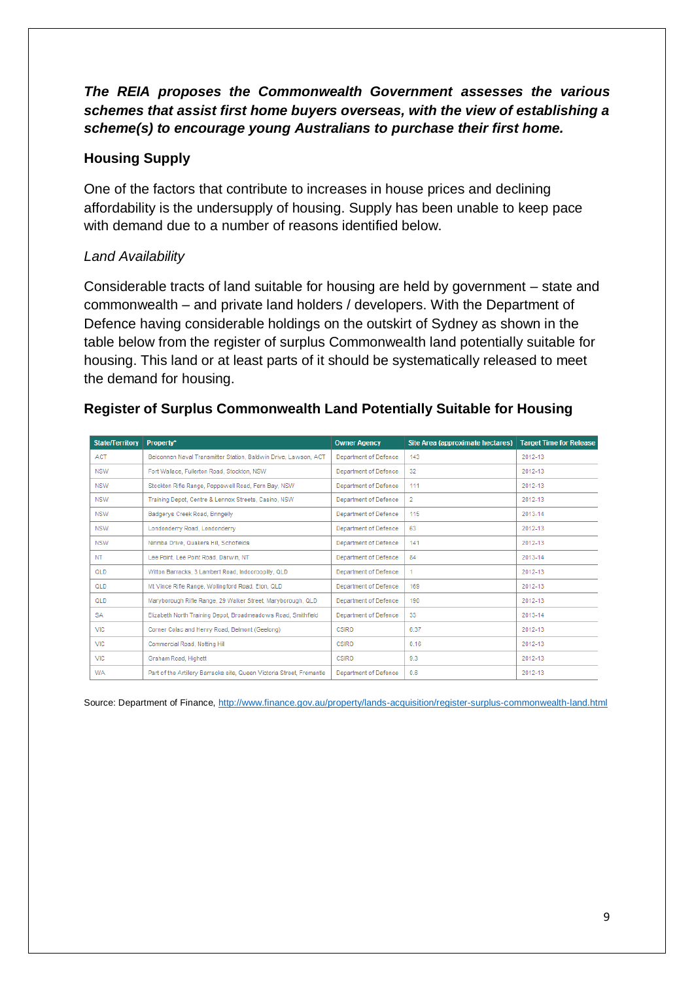## *The REIA proposes the Commonwealth Government assesses the various schemes that assist first home buyers overseas, with the view of establishing a scheme(s) to encourage young Australians to purchase their first home.*

### **Housing Supply**

One of the factors that contribute to increases in house prices and declining affordability is the undersupply of housing. Supply has been unable to keep pace with demand due to a number of reasons identified below.

### *Land Availability*

Considerable tracts of land suitable for housing are held by government – state and commonwealth – and private land holders / developers. With the Department of Defence having considerable holdings on the outskirt of Sydney as shown in the table below from the register of surplus Commonwealth land potentially suitable for housing. This land or at least parts of it should be systematically released to meet the demand for housing.

### **Register of Surplus Commonwealth Land Potentially Suitable for Housing**

| <b>State/Territory</b> | Property*                                                             | <b>Owner Agency</b>   | Site Area (approximate hectares) | <b>Target Time for Release</b> |
|------------------------|-----------------------------------------------------------------------|-----------------------|----------------------------------|--------------------------------|
| <b>ACT</b>             | Belconnen Naval Transmitter Station, Baldwin Drive, Lawson, ACT       | Department of Defence | 143                              | 2012-13                        |
| <b>NSW</b>             | Fort Wallace, Fullerton Road, Stockton, NSW                           | Department of Defence | 32                               | 2012-13                        |
| <b>NSW</b>             | Stockton Rifle Range, Poppewell Road, Fern Bay, NSW                   | Department of Defence | 111                              | 2012-13                        |
| <b>NSW</b>             | Training Depot, Centre & Lennox Streets, Casino, NSW                  | Department of Defence | 2                                | 2012-13                        |
| <b>NSW</b>             | Badgerys Creek Road, Bringelly                                        | Department of Defence | 115                              | 2013-14                        |
| NSW                    | Londonderry Road, Londonderry                                         | Department of Defence | 63                               | 2012-13                        |
| <b>NSW</b>             | Nirimba Drive, Quakers Hill, Schofields                               | Department of Defence | 141                              | 2012-13                        |
| <b>NT</b>              | Lee Point, Lee Point Road, Darwin, NT                                 | Department of Defence | 84                               | 2013-14                        |
| QLD                    | Witton Barracks, 3 Lambert Road, Indooroopilly, QLD                   | Department of Defence | 1.                               | 2012-13                        |
| QLD                    | Mt Vince Rifle Range, Wollingford Road, Eton, QLD                     | Department of Defence | 169                              | 2012-13                        |
| QLD                    | Maryborough Rifle Range, 29 Walker Street, Maryborough, QLD           | Department of Defence | 190                              | 2012-13                        |
| <b>SA</b>              | Elizabeth North Training Depot, Broadmeadows Road, Smithfield         | Department of Defence | 33                               | 2013-14                        |
| <b>VIC</b>             | Corner Colac and Henry Road, Belmont (Geelong)                        | <b>CSIRO</b>          | 6.37                             | 2012-13                        |
| <b>VIC</b>             | Commercial Road, Notting Hill                                         | <b>CSIRO</b>          | 0.16                             | 2012-13                        |
| <b>VIC</b>             | Graham Road, Highett                                                  | CSIRO                 | 9.3                              | 2012-13                        |
| <b>WA</b>              | Part of the Artillery Barracks site, Queen Victoria Street, Fremantle | Department of Defence | 0.6                              | 2012-13                        |

Source: Department of Finance,<http://www.finance.gov.au/property/lands-acquisition/register-surplus-commonwealth-land.html>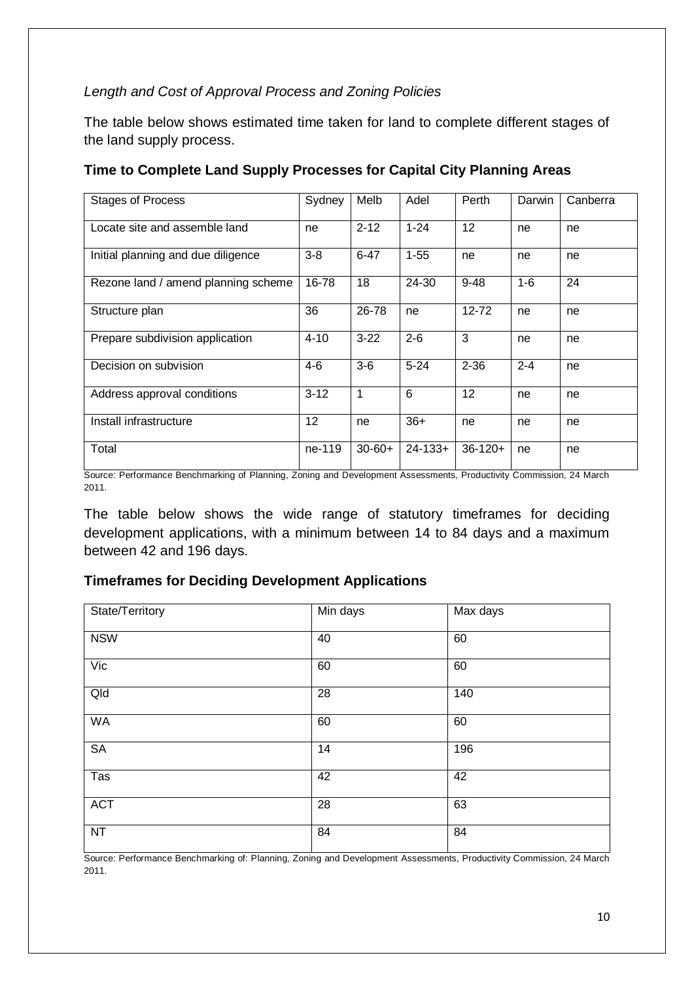#### *Length and Cost of Approval Process and Zoning Policies*

The table below shows estimated time taken for land to complete different stages of the land supply process.

| <b>Stages of Process</b>            | Sydney   | Melb        | Adel         | Perth     | Darwin  | Canberra |
|-------------------------------------|----------|-------------|--------------|-----------|---------|----------|
| Locate site and assemble land       | ne       | $2 - 12$    | $1 - 24$     | 12        | ne      | ne       |
| Initial planning and due diligence  | $3 - 8$  | $6 - 47$    | $1 - 55$     | ne        | ne      | ne       |
| Rezone land / amend planning scheme | 16-78    | 18          | 24-30        | $9 - 48$  | $1 - 6$ | 24       |
| Structure plan                      | 36       | 26-78       | ne           | $12 - 72$ | ne      | ne       |
| Prepare subdivision application     | $4 - 10$ | $3 - 22$    | $2 - 6$      | 3         | ne      | ne       |
| Decision on subvision               | $4-6$    | $3-6$       | $5 - 24$     | $2 - 36$  | $2 - 4$ | ne       |
| Address approval conditions         | $3 - 12$ | 1           | 6            | 12        | ne      | ne       |
| Install infrastructure              | 12       | ne          | $36+$        | ne        | ne      | ne       |
| Total                               | ne-119   | $30 - 60 +$ | $24 - 133 +$ | $36-120+$ | ne      | ne       |

#### **Time to Complete Land Supply Processes for Capital City Planning Areas**

Source: Performance Benchmarking of Planning, Zoning and Development Assessments, Productivity Commission, 24 March 2011.

The table below shows the wide range of statutory timeframes for deciding development applications, with a minimum between 14 to 84 days and a maximum between 42 and 196 days.

### **Timeframes for Deciding Development Applications**

| State/Territory          | Min days | Max days |
|--------------------------|----------|----------|
| <b>NSW</b>               | 40       | 60       |
| $\overline{\text{Vic}}$  | 60       | 60       |
| $Q$ ld                   | 28       | 140      |
| <b>WA</b>                | 60       | 60       |
| <b>SA</b>                | 14       | 196      |
| $\overline{\text{T}}$ as | 42       | 42       |
| <b>ACT</b>               | 28       | 63       |
| NT                       | 84       | 84       |

Source: Performance Benchmarking of: Planning, Zoning and Development Assessments, Productivity Commission, 24 March 2011.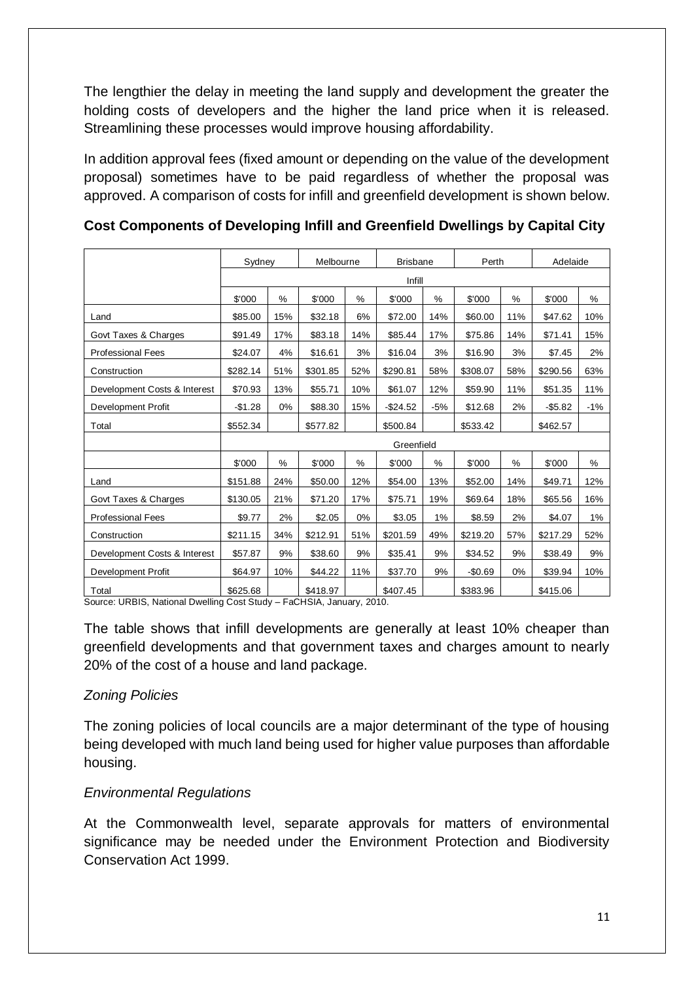The lengthier the delay in meeting the land supply and development the greater the holding costs of developers and the higher the land price when it is released. Streamlining these processes would improve housing affordability.

In addition approval fees (fixed amount or depending on the value of the development proposal) sometimes have to be paid regardless of whether the proposal was approved. A comparison of costs for infill and greenfield development is shown below.

|                              | Sydney   |       | Melbourne |        | <b>Brisbane</b> |       | Perth    |      | Adelaide   |       |
|------------------------------|----------|-------|-----------|--------|-----------------|-------|----------|------|------------|-------|
|                              |          |       |           | Infill |                 |       |          |      |            |       |
|                              | \$'000   | %     | \$'000    | %      | \$'000          | $\%$  | \$'000   | $\%$ | \$'000     | %     |
| Land                         | \$85.00  | 15%   | \$32.18   | 6%     | \$72.00         | 14%   | \$60.00  | 11%  | \$47.62    | 10%   |
| Govt Taxes & Charges         | \$91.49  | 17%   | \$83.18   | 14%    | \$85.44         | 17%   | \$75.86  | 14%  | \$71.41    | 15%   |
| <b>Professional Fees</b>     | \$24.07  | 4%    | \$16.61   | 3%     | \$16.04         | 3%    | \$16.90  | 3%   | \$7.45     | 2%    |
| Construction                 | \$282.14 | 51%   | \$301.85  | 52%    | \$290.81        | 58%   | \$308.07 | 58%  | \$290.56   | 63%   |
| Development Costs & Interest | \$70.93  | 13%   | \$55.71   | 10%    | \$61.07         | 12%   | \$59.90  | 11%  | \$51.35    | 11%   |
| Development Profit           | $-$1.28$ | $0\%$ | \$88.30   | 15%    | $-$24.52$       | $-5%$ | \$12.68  | 2%   | $-$ \$5.82 | $-1%$ |
| Total                        | \$552.34 |       | \$577.82  |        | \$500.84        |       | \$533.42 |      | \$462.57   |       |
|                              |          |       |           |        | Greenfield      |       |          |      |            |       |
|                              | \$'000   | %     | \$'000    | %      | \$'000          | $\%$  | \$'000   | %    | \$'000     | %     |
| Land                         | \$151.88 | 24%   | \$50.00   | 12%    | \$54.00         | 13%   | \$52.00  | 14%  | \$49.71    | 12%   |
| Govt Taxes & Charges         | \$130.05 | 21%   | \$71.20   | 17%    | \$75.71         | 19%   | \$69.64  | 18%  | \$65.56    | 16%   |
| <b>Professional Fees</b>     | \$9.77   | 2%    | \$2.05    | 0%     | \$3.05          | 1%    | \$8.59   | 2%   | \$4.07     | 1%    |
| Construction                 | \$211.15 | 34%   | \$212.91  | 51%    | \$201.59        | 49%   | \$219.20 | 57%  | \$217.29   | 52%   |
| Development Costs & Interest | \$57.87  | 9%    | \$38.60   | 9%     | \$35.41         | 9%    | \$34.52  | 9%   | \$38.49    | 9%    |
| Development Profit           | \$64.97  | 10%   | \$44.22   | 11%    | \$37.70         | 9%    | $-$0.69$ | 0%   | \$39.94    | 10%   |
| Total                        | \$625.68 |       | \$418.97  |        | \$407.45        |       | \$383.96 |      | \$415.06   |       |

**Cost Components of Developing Infill and Greenfield Dwellings by Capital City** 

Source: URBIS, National Dwelling Cost Study – FaCHSIA, January, 2010.

The table shows that infill developments are generally at least 10% cheaper than greenfield developments and that government taxes and charges amount to nearly 20% of the cost of a house and land package.

#### *Zoning Policies*

The zoning policies of local councils are a major determinant of the type of housing being developed with much land being used for higher value purposes than affordable housing.

#### *Environmental Regulations*

At the Commonwealth level, separate approvals for matters of environmental significance may be needed under the Environment Protection and Biodiversity Conservation Act 1999.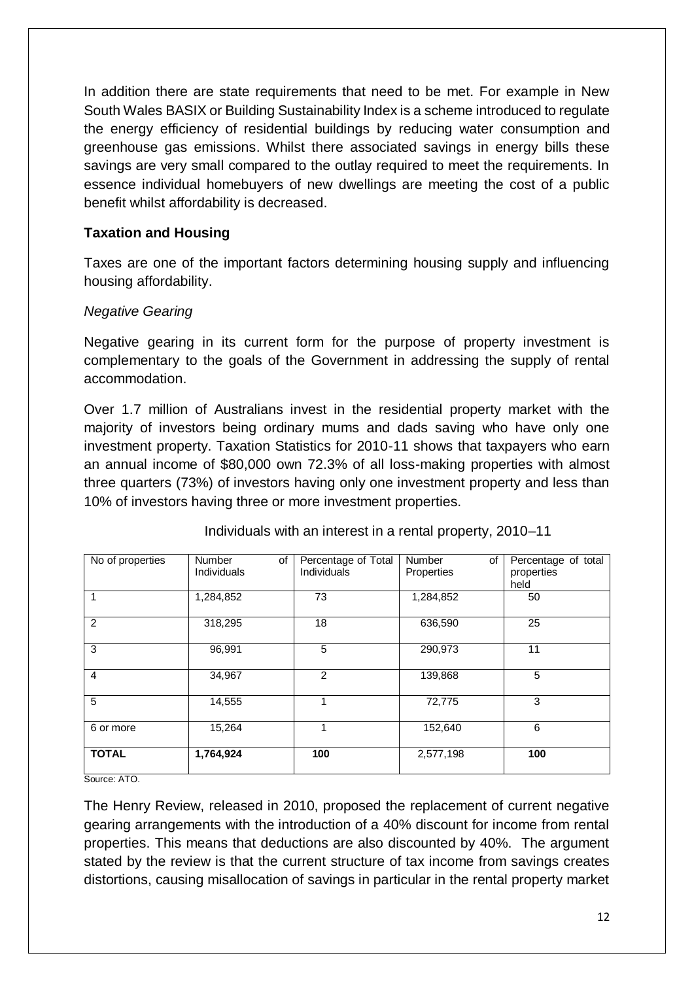In addition there are state requirements that need to be met. For example in New South Wales BASIX or Building Sustainability Index is a scheme introduced to regulate the energy efficiency of residential buildings by reducing water consumption and greenhouse gas emissions. Whilst there associated savings in energy bills these savings are very small compared to the outlay required to meet the requirements. In essence individual homebuyers of new dwellings are meeting the cost of a public benefit whilst affordability is decreased.

#### **Taxation and Housing**

Taxes are one of the important factors determining housing supply and influencing housing affordability.

#### *Negative Gearing*

Negative gearing in its current form for the purpose of property investment is complementary to the goals of the Government in addressing the supply of rental accommodation.

Over 1.7 million of Australians invest in the residential property market with the majority of investors being ordinary mums and dads saving who have only one investment property. Taxation Statistics for 2010-11 shows that taxpayers who earn an annual income of \$80,000 own 72.3% of all loss-making properties with almost three quarters (73%) of investors having only one investment property and less than 10% of investors having three or more investment properties.

| No of properties | <b>Number</b><br>οf<br>Individuals | Percentage of Total<br>Individuals | <b>Number</b><br>of<br>Properties | Percentage of total<br>properties |
|------------------|------------------------------------|------------------------------------|-----------------------------------|-----------------------------------|
|                  |                                    |                                    |                                   | held                              |
| 1                | 1,284,852                          | 73                                 | 1,284,852                         | 50                                |
| 2                | 318,295                            | 18                                 | 636,590                           | 25                                |
| 3                | 96,991                             | 5                                  | 290,973                           | 11                                |
| $\overline{4}$   | 34,967                             | 2                                  | 139,868                           | 5                                 |
| 5                | 14,555                             | 1                                  | 72,775                            | 3                                 |
| 6 or more        | 15,264                             | 4                                  | 152,640                           | 6                                 |
| <b>TOTAL</b>     | 1,764,924                          | 100                                | 2,577,198                         | 100                               |

Individuals with an interest in a rental property, 2010–11

Source: ATO.

The Henry Review, released in 2010, proposed the replacement of current negative gearing arrangements with the introduction of a 40% discount for income from rental properties. This means that deductions are also discounted by 40%. The argument stated by the review is that the current structure of tax income from savings creates distortions, causing misallocation of savings in particular in the rental property market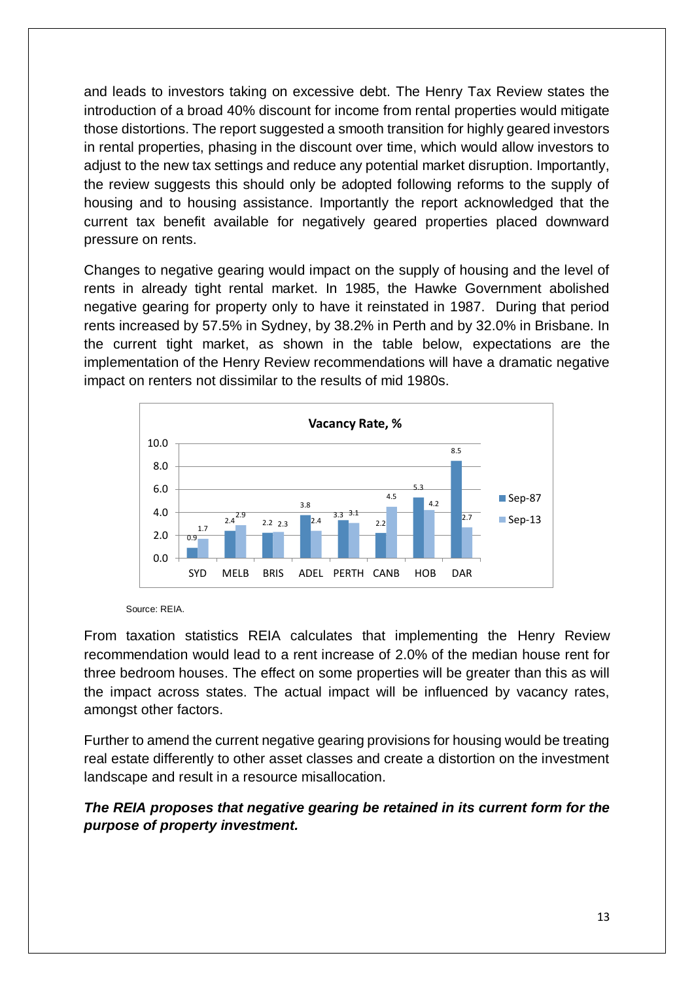and leads to investors taking on excessive debt. The Henry Tax Review states the introduction of a broad 40% discount for income from rental properties would mitigate those distortions. The report suggested a smooth transition for highly geared investors in rental properties, phasing in the discount over time, which would allow investors to adjust to the new tax settings and reduce any potential market disruption. Importantly, the review suggests this should only be adopted following reforms to the supply of housing and to housing assistance. Importantly the report acknowledged that the current tax benefit available for negatively geared properties placed downward pressure on rents.

Changes to negative gearing would impact on the supply of housing and the level of rents in already tight rental market. In 1985, the Hawke Government abolished negative gearing for property only to have it reinstated in 1987. During that period rents increased by 57.5% in Sydney, by 38.2% in Perth and by 32.0% in Brisbane. In the current tight market, as shown in the table below, expectations are the implementation of the Henry Review recommendations will have a dramatic negative impact on renters not dissimilar to the results of mid 1980s.



Source: REIA.

From taxation statistics REIA calculates that implementing the Henry Review recommendation would lead to a rent increase of 2.0% of the median house rent for three bedroom houses. The effect on some properties will be greater than this as will the impact across states. The actual impact will be influenced by vacancy rates, amongst other factors.

Further to amend the current negative gearing provisions for housing would be treating real estate differently to other asset classes and create a distortion on the investment landscape and result in a resource misallocation.

#### *The REIA proposes that negative gearing be retained in its current form for the purpose of property investment.*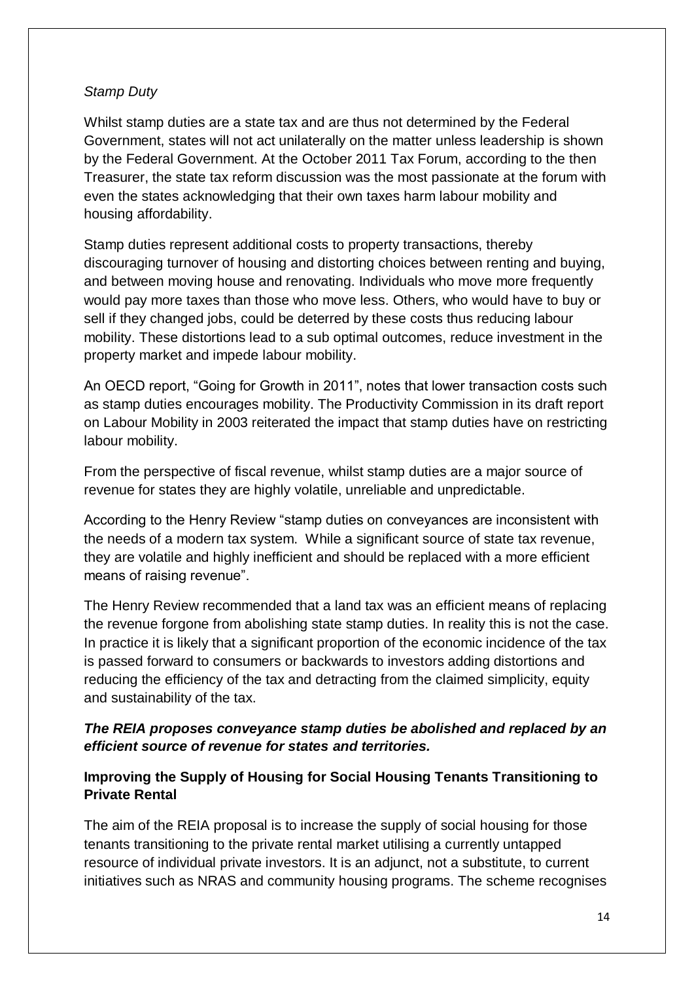#### *Stamp Duty*

Whilst stamp duties are a state tax and are thus not determined by the Federal Government, states will not act unilaterally on the matter unless leadership is shown by the Federal Government. At the October 2011 Tax Forum, according to the then Treasurer, the state tax reform discussion was the most passionate at the forum with even the states acknowledging that their own taxes harm labour mobility and housing affordability.

Stamp duties represent additional costs to property transactions, thereby discouraging turnover of housing and distorting choices between renting and buying, and between moving house and renovating. Individuals who move more frequently would pay more taxes than those who move less. Others, who would have to buy or sell if they changed jobs, could be deterred by these costs thus reducing labour mobility. These distortions lead to a sub optimal outcomes, reduce investment in the property market and impede labour mobility.

An OECD report, "Going for Growth in 2011", notes that lower transaction costs such as stamp duties encourages mobility. The Productivity Commission in its draft report on Labour Mobility in 2003 reiterated the impact that stamp duties have on restricting labour mobility.

From the perspective of fiscal revenue, whilst stamp duties are a major source of revenue for states they are highly volatile, unreliable and unpredictable.

According to the Henry Review "stamp duties on conveyances are inconsistent with the needs of a modern tax system. While a significant source of state tax revenue, they are volatile and highly inefficient and should be replaced with a more efficient means of raising revenue".

The Henry Review recommended that a land tax was an efficient means of replacing the revenue forgone from abolishing state stamp duties. In reality this is not the case. In practice it is likely that a significant proportion of the economic incidence of the tax is passed forward to consumers or backwards to investors adding distortions and reducing the efficiency of the tax and detracting from the claimed simplicity, equity and sustainability of the tax.

### *The REIA proposes conveyance stamp duties be abolished and replaced by an efficient source of revenue for states and territories.*

#### **Improving the Supply of Housing for Social Housing Tenants Transitioning to Private Rental**

The aim of the REIA proposal is to increase the supply of social housing for those tenants transitioning to the private rental market utilising a currently untapped resource of individual private investors. It is an adjunct, not a substitute, to current initiatives such as NRAS and community housing programs. The scheme recognises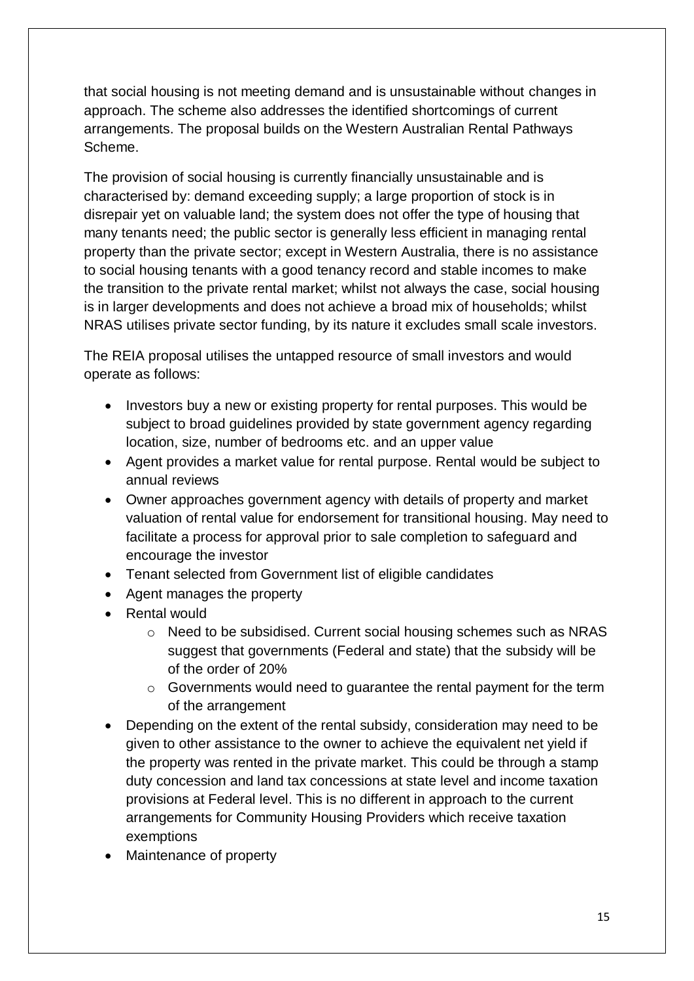that social housing is not meeting demand and is unsustainable without changes in approach. The scheme also addresses the identified shortcomings of current arrangements. The proposal builds on the Western Australian Rental Pathways Scheme.

The provision of social housing is currently financially unsustainable and is characterised by: demand exceeding supply; a large proportion of stock is in disrepair yet on valuable land; the system does not offer the type of housing that many tenants need; the public sector is generally less efficient in managing rental property than the private sector; except in Western Australia, there is no assistance to social housing tenants with a good tenancy record and stable incomes to make the transition to the private rental market; whilst not always the case, social housing is in larger developments and does not achieve a broad mix of households; whilst NRAS utilises private sector funding, by its nature it excludes small scale investors.

The REIA proposal utilises the untapped resource of small investors and would operate as follows:

- Investors buy a new or existing property for rental purposes. This would be subject to broad guidelines provided by state government agency regarding location, size, number of bedrooms etc. and an upper value
- Agent provides a market value for rental purpose. Rental would be subject to annual reviews
- Owner approaches government agency with details of property and market valuation of rental value for endorsement for transitional housing. May need to facilitate a process for approval prior to sale completion to safeguard and encourage the investor
- Tenant selected from Government list of eligible candidates
- Agent manages the property
- Rental would
	- o Need to be subsidised. Current social housing schemes such as NRAS suggest that governments (Federal and state) that the subsidy will be of the order of 20%
	- o Governments would need to guarantee the rental payment for the term of the arrangement
- Depending on the extent of the rental subsidy, consideration may need to be given to other assistance to the owner to achieve the equivalent net yield if the property was rented in the private market. This could be through a stamp duty concession and land tax concessions at state level and income taxation provisions at Federal level. This is no different in approach to the current arrangements for Community Housing Providers which receive taxation exemptions
- Maintenance of property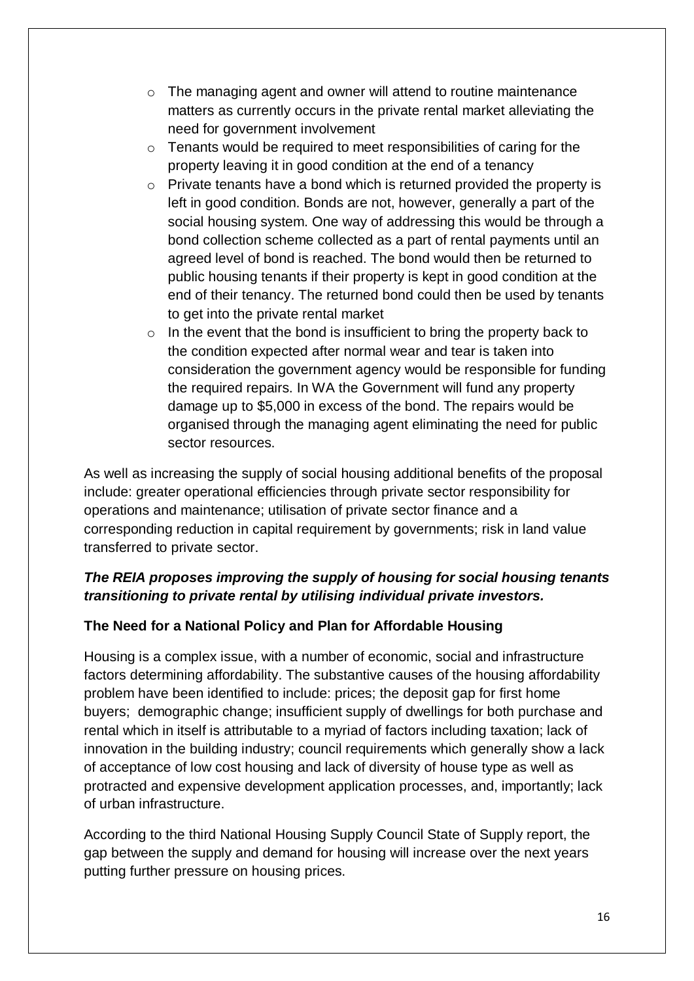- o The managing agent and owner will attend to routine maintenance matters as currently occurs in the private rental market alleviating the need for government involvement
- o Tenants would be required to meet responsibilities of caring for the property leaving it in good condition at the end of a tenancy
- o Private tenants have a bond which is returned provided the property is left in good condition. Bonds are not, however, generally a part of the social housing system. One way of addressing this would be through a bond collection scheme collected as a part of rental payments until an agreed level of bond is reached. The bond would then be returned to public housing tenants if their property is kept in good condition at the end of their tenancy. The returned bond could then be used by tenants to get into the private rental market
- $\circ$  In the event that the bond is insufficient to bring the property back to the condition expected after normal wear and tear is taken into consideration the government agency would be responsible for funding the required repairs. In WA the Government will fund any property damage up to \$5,000 in excess of the bond. The repairs would be organised through the managing agent eliminating the need for public sector resources.

As well as increasing the supply of social housing additional benefits of the proposal include: greater operational efficiencies through private sector responsibility for operations and maintenance; utilisation of private sector finance and a corresponding reduction in capital requirement by governments; risk in land value transferred to private sector.

# *The REIA proposes improving the supply of housing for social housing tenants transitioning to private rental by utilising individual private investors.*

## **The Need for a National Policy and Plan for Affordable Housing**

Housing is a complex issue, with a number of economic, social and infrastructure factors determining affordability. The substantive causes of the housing affordability problem have been identified to include: prices; the deposit gap for first home buyers; demographic change; insufficient supply of dwellings for both purchase and rental which in itself is attributable to a myriad of factors including taxation; lack of innovation in the building industry; council requirements which generally show a lack of acceptance of low cost housing and lack of diversity of house type as well as protracted and expensive development application processes, and, importantly; lack of urban infrastructure.

According to the third National Housing Supply Council State of Supply report, the gap between the supply and demand for housing will increase over the next years putting further pressure on housing prices.